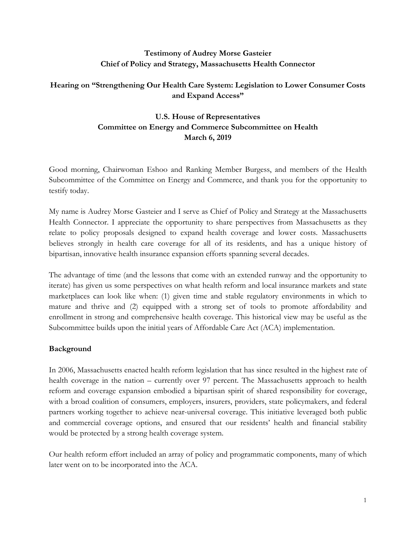## **Testimony of Audrey Morse Gasteier Chief of Policy and Strategy, Massachusetts Health Connector**

## **Hearing on "Strengthening Our Health Care System: Legislation to Lower Consumer Costs and Expand Access"**

# **U.S. House of Representatives Committee on Energy and Commerce Subcommittee on Health March 6, 2019**

Good morning, Chairwoman Eshoo and Ranking Member Burgess, and members of the Health Subcommittee of the Committee on Energy and Commerce, and thank you for the opportunity to testify today.

My name is Audrey Morse Gasteier and I serve as Chief of Policy and Strategy at the Massachusetts Health Connector. I appreciate the opportunity to share perspectives from Massachusetts as they relate to policy proposals designed to expand health coverage and lower costs. Massachusetts believes strongly in health care coverage for all of its residents, and has a unique history of bipartisan, innovative health insurance expansion efforts spanning several decades.

The advantage of time (and the lessons that come with an extended runway and the opportunity to iterate) has given us some perspectives on what health reform and local insurance markets and state marketplaces can look like when: (1) given time and stable regulatory environments in which to mature and thrive and (2) equipped with a strong set of tools to promote affordability and enrollment in strong and comprehensive health coverage. This historical view may be useful as the Subcommittee builds upon the initial years of Affordable Care Act (ACA) implementation.

### **Background**

In 2006, Massachusetts enacted health reform legislation that has since resulted in the highest rate of health coverage in the nation – currently over 97 percent. The Massachusetts approach to health reform and coverage expansion embodied a bipartisan spirit of shared responsibility for coverage, with a broad coalition of consumers, employers, insurers, providers, state policymakers, and federal partners working together to achieve near-universal coverage. This initiative leveraged both public and commercial coverage options, and ensured that our residents' health and financial stability would be protected by a strong health coverage system.

Our health reform effort included an array of policy and programmatic components, many of which later went on to be incorporated into the ACA.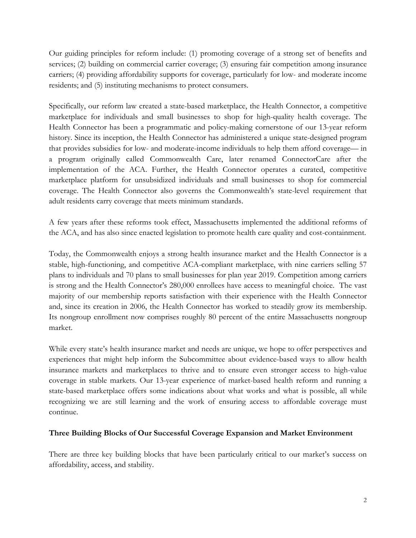Our guiding principles for reform include: (1) promoting coverage of a strong set of benefits and services; (2) building on commercial carrier coverage; (3) ensuring fair competition among insurance carriers; (4) providing affordability supports for coverage, particularly for low- and moderate income residents; and (5) instituting mechanisms to protect consumers.

Specifically, our reform law created a state-based marketplace, the Health Connector, a competitive marketplace for individuals and small businesses to shop for high-quality health coverage. The Health Connector has been a programmatic and policy-making cornerstone of our 13-year reform history. Since its inception, the Health Connector has administered a unique state-designed program that provides subsidies for low- and moderate-income individuals to help them afford coverage— in a program originally called Commonwealth Care, later renamed ConnectorCare after the implementation of the ACA. Further, the Health Connector operates a curated, competitive marketplace platform for unsubsidized individuals and small businesses to shop for commercial coverage. The Health Connector also governs the Commonwealth's state-level requirement that adult residents carry coverage that meets minimum standards.

A few years after these reforms took effect, Massachusetts implemented the additional reforms of the ACA, and has also since enacted legislation to promote health care quality and cost-containment.

Today, the Commonwealth enjoys a strong health insurance market and the Health Connector is a stable, high-functioning, and competitive ACA-compliant marketplace, with nine carriers selling 57 plans to individuals and 70 plans to small businesses for plan year 2019. Competition among carriers is strong and the Health Connector's 280,000 enrollees have access to meaningful choice. The vast majority of our membership reports satisfaction with their experience with the Health Connector and, since its creation in 2006, the Health Connector has worked to steadily grow its membership. Its nongroup enrollment now comprises roughly 80 percent of the entire Massachusetts nongroup market.

While every state's health insurance market and needs are unique, we hope to offer perspectives and experiences that might help inform the Subcommittee about evidence-based ways to allow health insurance markets and marketplaces to thrive and to ensure even stronger access to high-value coverage in stable markets. Our 13-year experience of market-based health reform and running a state-based marketplace offers some indications about what works and what is possible, all while recognizing we are still learning and the work of ensuring access to affordable coverage must continue.

#### **Three Building Blocks of Our Successful Coverage Expansion and Market Environment**

There are three key building blocks that have been particularly critical to our market's success on affordability, access, and stability.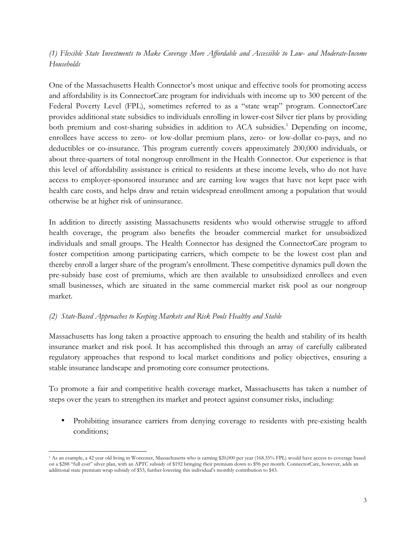### *(1) Flexible State Investments to Make Coverage More Affordable and Accessible to Low- and Moderate-Income Households*

One of the Massachusetts Health Connector's most unique and effective tools for promoting access and affordability is its ConnectorCare program for individuals with income up to 300 percent of the Federal Poverty Level (FPL), sometimes referred to as a "state wrap" program. ConnectorCare provides additional state subsidies to individuals enrolling in lower-cost Silver tier plans by providing both premium and cost-sharing subsidies in addition to ACA subsidies.<sup>1</sup> Depending on income, enrollees have access to zero- or low-dollar premium plans, zero- or low-dollar co-pays, and no deductibles or co-insurance. This program currently covers approximately 200,000 individuals, or about three-quarters of total nongroup enrollment in the Health Connector. Our experience is that this level of affordability assistance is critical to residents at these income levels, who do not have access to employer-sponsored insurance and are earning low wages that have not kept pace with health care costs, and helps draw and retain widespread enrollment among a population that would otherwise be at higher risk of uninsurance.

In addition to directly assisting Massachusetts residents who would otherwise struggle to afford health coverage, the program also benefits the broader commercial market for unsubsidized individuals and small groups. The Health Connector has designed the ConnectorCare program to foster competition among participating carriers, which compete to be the lowest cost plan and thereby enroll a larger share of the program's enrollment. These competitive dynamics pull down the pre-subsidy base cost of premiums, which are then available to unsubsidized enrollees and even small businesses, which are situated in the same commercial market risk pool as our nongroup market.

### *(2) State-Based Approaches to Keeping Markets and Risk Pools Healthy and Stable*

Massachusetts has long taken a proactive approach to ensuring the health and stability of its health insurance market and risk pool. It has accomplished this through an array of carefully calibrated regulatory approaches that respond to local market conditions and policy objectives, ensuring a stable insurance landscape and promoting core consumer protections.

To promote a fair and competitive health coverage market, Massachusetts has taken a number of steps over the years to strengthen its market and protect against consumer risks, including:

• Prohibiting insurance carriers from denying coverage to residents with pre-existing health conditions;

<sup>&</sup>lt;u> 1989 - Johann Stein, markin film yn y breninn y breninn y breninn y breninn y breninn y breninn y breninn y b</u> <sup>1</sup> As an example, a 42 year old living in Worcester, Massachusetts who is earning \$20,000 per year (168.35% FPL) would have access to coverage based on a \$288 "full cost" silver plan, with an APTC subsidy of \$192 bringing their premium down to \$96 per month. ConnectorCare, however, adds an additional state premium wrap subsidy of \$53, further lowering this individual's monthly contribution to \$43.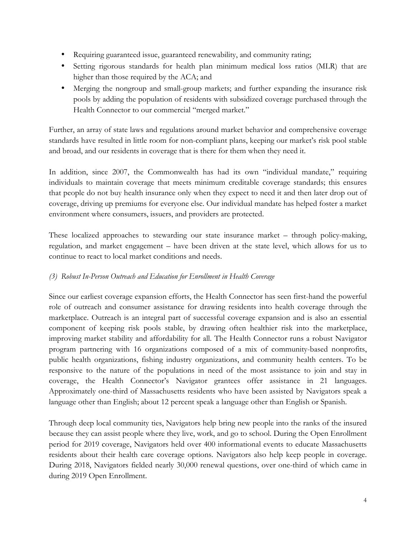- Requiring guaranteed issue, guaranteed renewability, and community rating;
- Setting rigorous standards for health plan minimum medical loss ratios (MLR) that are higher than those required by the ACA; and
- Merging the nongroup and small-group markets; and further expanding the insurance risk pools by adding the population of residents with subsidized coverage purchased through the Health Connector to our commercial "merged market."

Further, an array of state laws and regulations around market behavior and comprehensive coverage standards have resulted in little room for non-compliant plans, keeping our market's risk pool stable and broad, and our residents in coverage that is there for them when they need it.

In addition, since 2007, the Commonwealth has had its own "individual mandate," requiring individuals to maintain coverage that meets minimum creditable coverage standards; this ensures that people do not buy health insurance only when they expect to need it and then later drop out of coverage, driving up premiums for everyone else. Our individual mandate has helped foster a market environment where consumers, issuers, and providers are protected.

These localized approaches to stewarding our state insurance market – through policy-making, regulation, and market engagement – have been driven at the state level, which allows for us to continue to react to local market conditions and needs.

# *(3) Robust In-Person Outreach and Education for Enrollment in Health Coverage*

Since our earliest coverage expansion efforts, the Health Connector has seen first-hand the powerful role of outreach and consumer assistance for drawing residents into health coverage through the marketplace. Outreach is an integral part of successful coverage expansion and is also an essential component of keeping risk pools stable, by drawing often healthier risk into the marketplace, improving market stability and affordability for all. The Health Connector runs a robust Navigator program partnering with 16 organizations composed of a mix of community-based nonprofits, public health organizations, fishing industry organizations, and community health centers. To be responsive to the nature of the populations in need of the most assistance to join and stay in coverage, the Health Connector's Navigator grantees offer assistance in 21 languages. Approximately one-third of Massachusetts residents who have been assisted by Navigators speak a language other than English; about 12 percent speak a language other than English or Spanish.

Through deep local community ties, Navigators help bring new people into the ranks of the insured because they can assist people where they live, work, and go to school. During the Open Enrollment period for 2019 coverage, Navigators held over 400 informational events to educate Massachusetts residents about their health care coverage options. Navigators also help keep people in coverage. During 2018, Navigators fielded nearly 30,000 renewal questions, over one-third of which came in during 2019 Open Enrollment.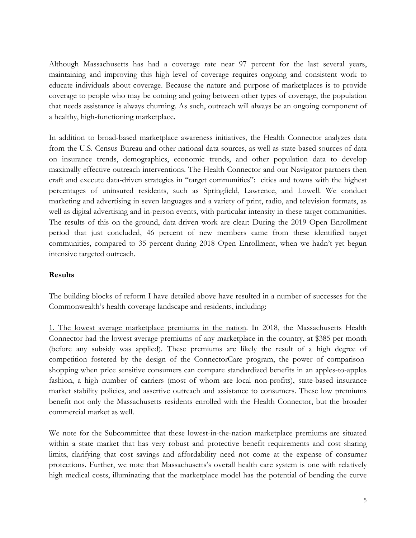Although Massachusetts has had a coverage rate near 97 percent for the last several years, maintaining and improving this high level of coverage requires ongoing and consistent work to educate individuals about coverage. Because the nature and purpose of marketplaces is to provide coverage to people who may be coming and going between other types of coverage, the population that needs assistance is always churning. As such, outreach will always be an ongoing component of a healthy, high-functioning marketplace.

In addition to broad-based marketplace awareness initiatives, the Health Connector analyzes data from the U.S. Census Bureau and other national data sources, as well as state-based sources of data on insurance trends, demographics, economic trends, and other population data to develop maximally effective outreach interventions. The Health Connector and our Navigator partners then craft and execute data-driven strategies in "target communities": cities and towns with the highest percentages of uninsured residents, such as Springfield, Lawrence, and Lowell. We conduct marketing and advertising in seven languages and a variety of print, radio, and television formats, as well as digital advertising and in-person events, with particular intensity in these target communities. The results of this on-the-ground, data-driven work are clear: During the 2019 Open Enrollment period that just concluded, 46 percent of new members came from these identified target communities, compared to 35 percent during 2018 Open Enrollment, when we hadn't yet begun intensive targeted outreach.

#### **Results**

The building blocks of reform I have detailed above have resulted in a number of successes for the Commonwealth's health coverage landscape and residents, including:

1. The lowest average marketplace premiums in the nation. In 2018, the Massachusetts Health Connector had the lowest average premiums of any marketplace in the country, at \$385 per month (before any subsidy was applied). These premiums are likely the result of a high degree of competition fostered by the design of the ConnectorCare program, the power of comparisonshopping when price sensitive consumers can compare standardized benefits in an apples-to-apples fashion, a high number of carriers (most of whom are local non-profits), state-based insurance market stability policies, and assertive outreach and assistance to consumers. These low premiums benefit not only the Massachusetts residents enrolled with the Health Connector, but the broader commercial market as well.

We note for the Subcommittee that these lowest-in-the-nation marketplace premiums are situated within a state market that has very robust and protective benefit requirements and cost sharing limits, clarifying that cost savings and affordability need not come at the expense of consumer protections. Further, we note that Massachusetts's overall health care system is one with relatively high medical costs, illuminating that the marketplace model has the potential of bending the curve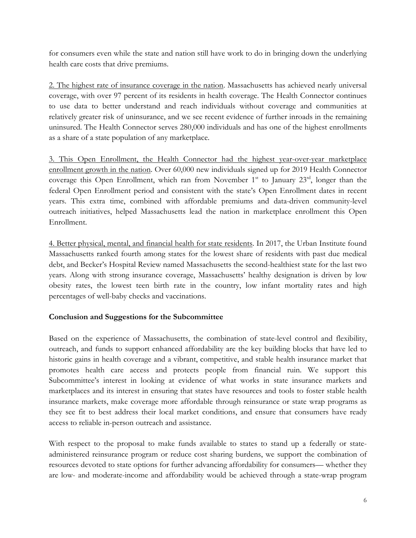for consumers even while the state and nation still have work to do in bringing down the underlying health care costs that drive premiums.

2. The highest rate of insurance coverage in the nation. Massachusetts has achieved nearly universal coverage, with over 97 percent of its residents in health coverage. The Health Connector continues to use data to better understand and reach individuals without coverage and communities at relatively greater risk of uninsurance, and we see recent evidence of further inroads in the remaining uninsured. The Health Connector serves 280,000 individuals and has one of the highest enrollments as a share of a state population of any marketplace.

3. This Open Enrollment, the Health Connector had the highest year-over-year marketplace enrollment growth in the nation. Over 60,000 new individuals signed up for 2019 Health Connector coverage this Open Enrollment, which ran from November  $1<sup>st</sup>$  to January  $23<sup>rd</sup>$ , longer than the federal Open Enrollment period and consistent with the state's Open Enrollment dates in recent years. This extra time, combined with affordable premiums and data-driven community-level outreach initiatives, helped Massachusetts lead the nation in marketplace enrollment this Open Enrollment.

4. Better physical, mental, and financial health for state residents. In 2017, the Urban Institute found Massachusetts ranked fourth among states for the lowest share of residents with past due medical debt, and Becker's Hospital Review named Massachusetts the second-healthiest state for the last two years. Along with strong insurance coverage, Massachusetts' healthy designation is driven by low obesity rates, the lowest teen birth rate in the country, low infant mortality rates and high percentages of well-baby checks and vaccinations.

### **Conclusion and Suggestions for the Subcommittee**

Based on the experience of Massachusetts, the combination of state-level control and flexibility, outreach, and funds to support enhanced affordability are the key building blocks that have led to historic gains in health coverage and a vibrant, competitive, and stable health insurance market that promotes health care access and protects people from financial ruin. We support this Subcommittee's interest in looking at evidence of what works in state insurance markets and marketplaces and its interest in ensuring that states have resources and tools to foster stable health insurance markets, make coverage more affordable through reinsurance or state wrap programs as they see fit to best address their local market conditions, and ensure that consumers have ready access to reliable in-person outreach and assistance.

With respect to the proposal to make funds available to states to stand up a federally or stateadministered reinsurance program or reduce cost sharing burdens, we support the combination of resources devoted to state options for further advancing affordability for consumers— whether they are low- and moderate-income and affordability would be achieved through a state-wrap program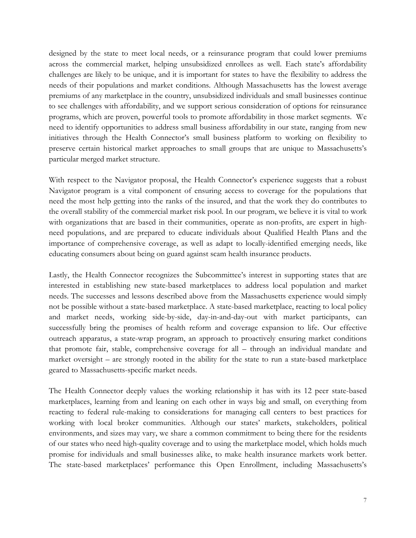designed by the state to meet local needs, or a reinsurance program that could lower premiums across the commercial market, helping unsubsidized enrollees as well. Each state's affordability challenges are likely to be unique, and it is important for states to have the flexibility to address the needs of their populations and market conditions. Although Massachusetts has the lowest average premiums of any marketplace in the country, unsubsidized individuals and small businesses continue to see challenges with affordability, and we support serious consideration of options for reinsurance programs, which are proven, powerful tools to promote affordability in those market segments. We need to identify opportunities to address small business affordability in our state, ranging from new initiatives through the Health Connector's small business platform to working on flexibility to preserve certain historical market approaches to small groups that are unique to Massachusetts's particular merged market structure.

With respect to the Navigator proposal, the Health Connector's experience suggests that a robust Navigator program is a vital component of ensuring access to coverage for the populations that need the most help getting into the ranks of the insured, and that the work they do contributes to the overall stability of the commercial market risk pool. In our program, we believe it is vital to work with organizations that are based in their communities, operate as non-profits, are expert in highneed populations, and are prepared to educate individuals about Qualified Health Plans and the importance of comprehensive coverage, as well as adapt to locally-identified emerging needs, like educating consumers about being on guard against scam health insurance products.

Lastly, the Health Connector recognizes the Subcommittee's interest in supporting states that are interested in establishing new state-based marketplaces to address local population and market needs. The successes and lessons described above from the Massachusetts experience would simply not be possible without a state-based marketplace. A state-based marketplace, reacting to local policy and market needs, working side-by-side, day-in-and-day-out with market participants, can successfully bring the promises of health reform and coverage expansion to life. Our effective outreach apparatus, a state-wrap program, an approach to proactively ensuring market conditions that promote fair, stable, comprehensive coverage for all – through an individual mandate and market oversight – are strongly rooted in the ability for the state to run a state-based marketplace geared to Massachusetts-specific market needs.

The Health Connector deeply values the working relationship it has with its 12 peer state-based marketplaces, learning from and leaning on each other in ways big and small, on everything from reacting to federal rule-making to considerations for managing call centers to best practices for working with local broker communities. Although our states' markets, stakeholders, political environments, and sizes may vary, we share a common commitment to being there for the residents of our states who need high-quality coverage and to using the marketplace model, which holds much promise for individuals and small businesses alike, to make health insurance markets work better. The state-based marketplaces' performance this Open Enrollment, including Massachusetts's